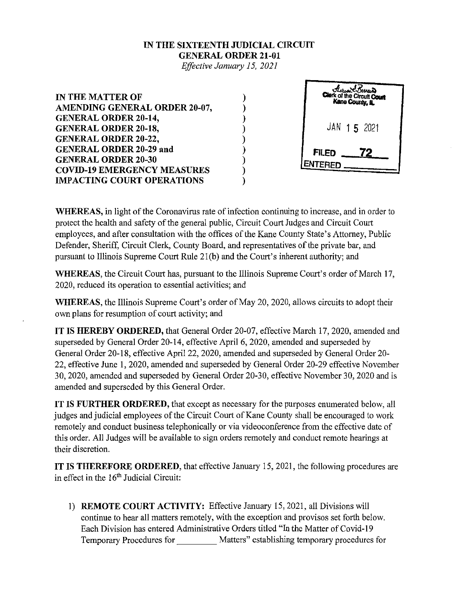## **IN THE SIXTEENTH JUDICIAL CIRCUIT GENERAL ORDER 21-01**

*Effective January 15, 2021* 

) ) ) ) ) ) ) ) )

**IN THE MATTER OF AMENDING GENERAL ORDER 20-07, GENERAL ORDER 20-14, GENERAL ORDER 20-18, GENERAL ORDER 20-22, GENERAL ORDER 20-29 and GENERAL ORDER 20-30 COVID-19 EMERGENCY MEASURES IMPACTING COURT OPERATIONS** 



**WHEREAS,** in light of the Coronavirus rate of infection continuing to increase, and in order to protect the health and safety of the general public, Circuit Court Judges and Circuit Court employees, and after consultation with the offices of the Kane County State's Attorney, Public Defender, Sheriff, Circuit Clerk, County Board, and representatives of the private bar, and pursuant to Illinois Supreme Court Rule 21(b) and the Court's inherent authority; and

**WHEREAS,** the Circuit Court has, pursuant to the Illinois Supreme Court's order of March 17, 2020, reduced its operation to essential activities; and

**WHEREAS,** the Illinois Supreme Court's order of May 20, 2020, allows circuits to adopt their own plans for resumption of court activity; and

**IT IS HEREBY ORDERED,** that General Order 20-07, effective March 17, 2020, amended and superseded by General Order 20-14, effective April 6, 2020, amended and superseded by General Order 20-18, effective April22, 2020, amended and superseded by General Order 20- 22, effective June 1, 2020, amended and superseded by General Order 20-29 effective November 30, 2020, amended and superseded by General Order 20-30, effective November 30, 2020 and is amended and superseded by this General Order.

**IT IS FURTHER ORDERED,** that except as necessary for the purposes enumerated below, all judges and judicial employees of the Circuit Court of Kane County shall be encouraged to work remotely and conduct business telephonically or via videoconference from the effective date of this order. All Judges will be available to sign orders remotely and conduct remote hearings at their discretion.

**IT IS THEREFORE ORDERED,** that effective January 15, 2021, the following procedures are in effect in the 16<sup>th</sup> Judicial Circuit:

!) **REMOTE COURT ACTIVITY:** Effective January 15,2021, all Divisions will continue to hear all matters remotely, with the exception and provisos set forth below. Each Division has entered Administrative Orders titled "In the Matter of Covid-19 Temporary Procedures for Matters" establishing temporary procedures for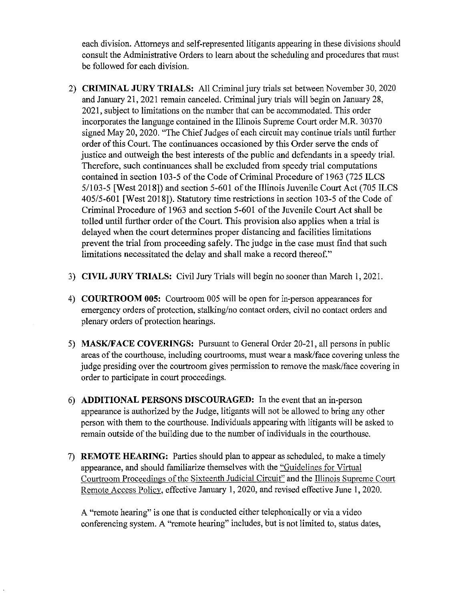each division. Attorneys and self-represented litigants appearing in these divisions should consult the Administrative Orders to learn about the scheduling and procedures that must be followed for each division.

- 2) **CRIMINAL JURY TRIALS:** All Criminal jury trials set between November 30, 2020 and January 21,2021 remain canceled. Criminal jury trials will begin on January 28, 2021, subject to limitations on the number that can be accommodated. This order incorporates the language contained in the Illinois Supreme Court order M.R. 30370 signed May 20, 2020. "The Chief Judges of each circuit may continue trials until further order of this Court. The continuances occasioned by this Order serve the ends of justice and outweigh the best interests of the public and defendants in a speedy trial. Therefore, such continuances shall be excluded from speedy trial computations contained in section 103-5 of the Code of Criminal Procedure of 1963 (725 ILCS 5/103-5 [West 2018]) and section 5-601 of the Illinois Juvenile Court Act (705 ILCS 405/5-601 [West 20 18]). Statutory time restrictions in section 103-5 of the Code of Criminal Procedure of 1963 and section 5-601 of the Juvenile Court Act shall be tolled until further order of the Court. This provision also applies when a trial is delayed when the court determines proper distancing and facilities limitations prevent the trial from proceeding safely. The judge in the case must find that such limitations necessitated the delay and shall make a record thereof."
- 3) **CIVIL JURY TRIALS:** Civil Jury Trials will begin no sooner than March 1, 202!.
- 4) **COURTROOM 005:** Courtroom 005 will be open for in-person appearances for emergency orders of protection, stalking/no contact orders, civil no contact orders and plenary orders of protection hearings.
- 5) **MASK/FACE COVERINGS:** Pursuant to General Order 20-21, all persons in public areas of the courthouse, including courtrooms, must wear a mask/face covering unless the judge presiding over the courtroom gives permission to remove the mask/face covering in order to participate in court proceedings.
- 6) **ADDITIONAL PERSONS DISCOURAGED:** In the event that an in-person appearance is authorized by the Judge, litigants will not be allowed to bring any other person with them to the courthouse. Individuals appearing with litigants will be asked to remain outside of the building due to the number of individuals in the courthouse.
- 7) **REMOTE HEARING:** Parties should plan to appear as scheduled, to make a timely appearance, and should familiarize themselves with the "Guidelines for Virtual Courtroom Proceedings of the Sixteenth Judicial Circuit" and the Illinois Supreme Court Remote Access Policv, effective January I, 2020, and revised effective June 1, 2020.

A "remote hearing" is one that is conducted either telephonically or via a video conferencing system. A "remote hearing" includes, but is not limited to, status dates,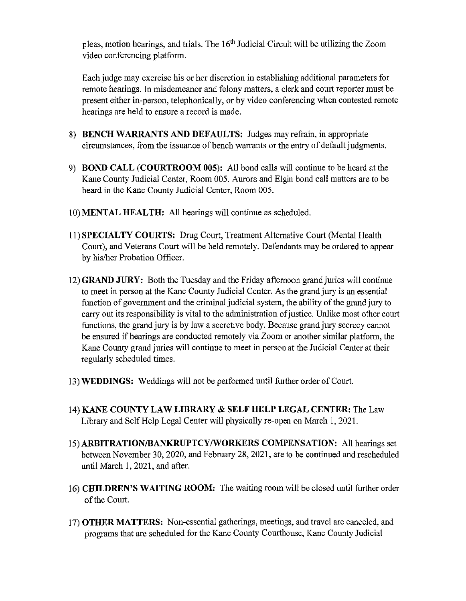pleas, motion hearings, and trials. The 16'h Judicial Circuit will be utilizing the Zoom video conferencing platform.

Each judge may exercise his or her discretion in establishing additional parameters for remote hearings. In misdemeanor and felony matters, a clerk and court reporter must be present either in-person, telephonically, or by video conferencing when contested remote hearings are held to ensure a record is made.

- 8) **BENCH WARRANTS AND DEFAULTS:** Judges may refrain, in appropriate circumstances, from the issuance of bench warrants or the entry of default judgments.
- 9) **BOND CALL (COURTROOM 005):** All bond calls will continue to be heard at the Kane County Judicial Center, Room 005. Aurora and Elgin bond call matters are to be heard in the Kane County Judicial Center, Room 005.
- **IO)MENTAL HEALTH:** All hearings will continue as scheduled.
- II) **SPECIALTY COURTS:** Drug Court, Treatment Alternative Court (Mental Health Court), and Veterans Court will be held remotely. Defendants may be ordered to appear by his/her Probation Officer.
- 12) **GRAND JURY:** Both the Tuesday and the Friday afternoon grand juries will continue to meet in person at the Kane County Judicial Center. As the grand jury is an essential function of government and the criminal judicial system, the ability of the grand jury to carry out its responsibility is vital to the administration of justice. Unlike most other court functions, the grand jury is by law a secretive body. Because grand jury secrecy carmot be ensured if hearings are conducted remotely via Zoom or another similar platform, the Kane County grand juries will continue to meet in person at the Judicial Center at their regularly scheduled times.
- 13) **WEDDINGS:** Weddings will not be performed until further order of Court.
- 14) **KANE COUNTY LAW LIBRARY & SELF HELP LEGAL CENTER:** The Law Library and Self Help Legal Center will physically re-open on March I, 2021.
- **15)ARBITRATION/BANKRUPTCY/WORKERS COMPENSATION:** All hearings set between November 30, 2020, and February 28, 2021, are to be continued and rescheduled until March I, 2021, and after.
- 16) **CHILDREN'S WAITING ROOM:** The waiting room will be closed until further order of the Court.
- 17) **OTHER MATTERS:** Non-essential gatherings, meetings, and travel are canceled, and programs that are scheduled for the Kane County Courthouse, Kane County Judicial